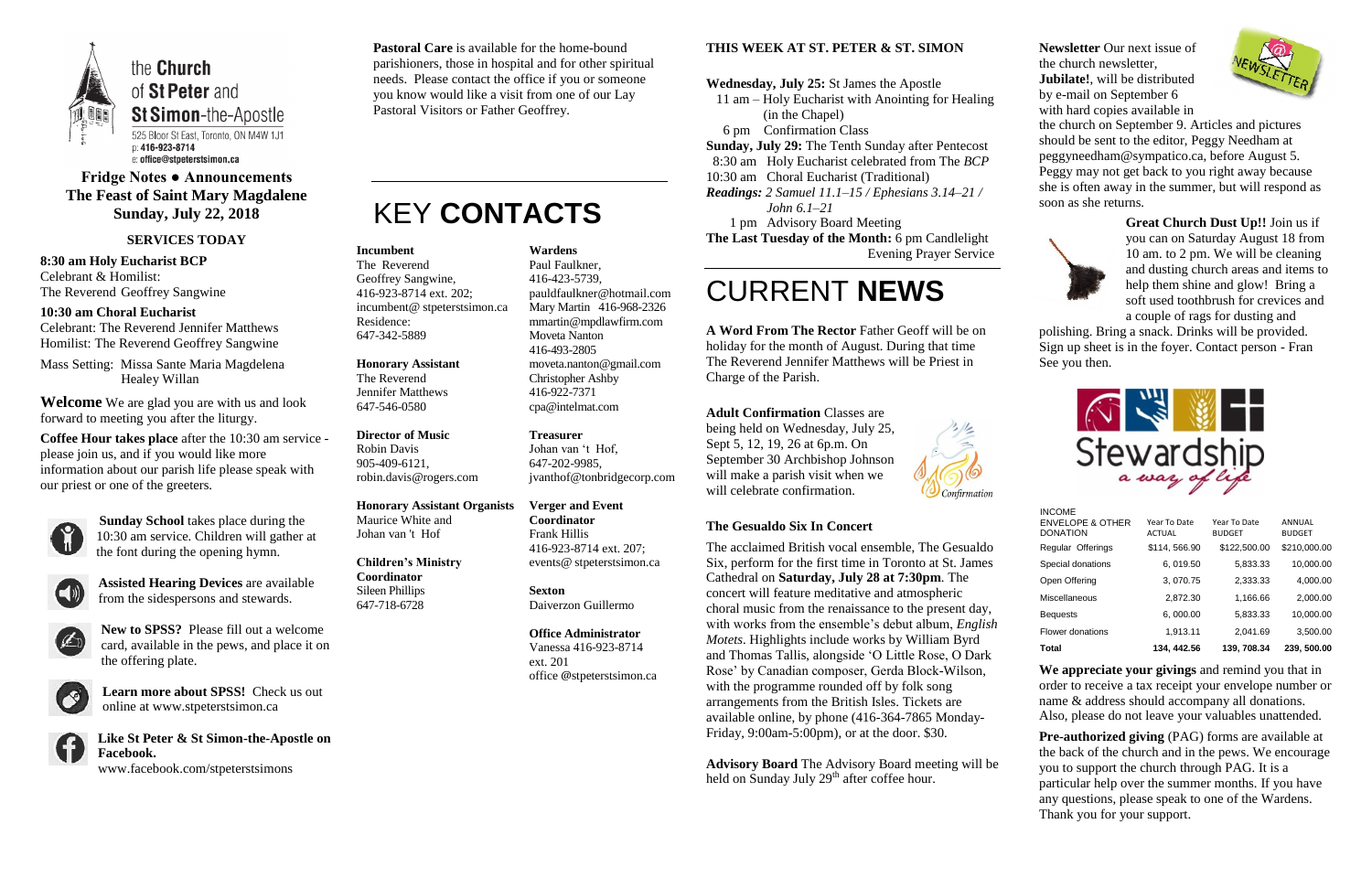

# **Fridge Notes ● Announcements The Feast of Saint Mary Magdalene Sunday, July 22, 2018**

#### **SERVICES TODAY**

**8:30 am Holy Eucharist BCP** Celebrant & Homilist: The Reverend Geoffrey Sangwine

**10:30 am Choral Eucharist** Celebrant: The Reverend Jennifer Matthews Homilist: The Reverend Geoffrey Sangwine

Mass Setting: Missa Sante Maria Magdelena Healey Willan

**Welcome** We are glad you are with us and look forward to meeting you after the liturgy.

**Coffee Hour takes place** after the 10:30 am service please join us, and if you would like more information about our parish life please speak with our priest or one of the greeters.



**Sunday School** takes place during the 10:30 am service. Children will gather at the font during the opening hymn.



**Assisted Hearing Devices** are available from the sidespersons and stewards.



**New to SPSS?** Please fill out a welcome card, available in the pews, and place it on the offering plate.



**Learn more about SPSS!** Check us out online at www.stpeterstsimon.ca

**Like St Peter & St Simon-the-Apostle on Facebook.**  www.facebook.com/stpeterstsimons

**Pastoral Care** is available for the home-bound parishioners, those in hospital and for other spiritual needs. Please contact the office if you or someone you know would like a visit from one of our Lay Pastoral Visitors or Father Geoffrey.

# KEY **CONTACTS**

#### **THIS WEEK AT ST. PETER & ST. SIMON**

**Advisory Board** The Advisory Board meeting will be held on Sunday July  $29<sup>th</sup>$  after coffee hour.

**Wednesday, July 25:** St James the Apostle 11 am – Holy Eucharist with Anointing for Healing (in the Chapel) 6 pm Confirmation Class **Sunday, July 29:** The Tenth Sunday after Pentecost 8:30 am Holy Eucharist celebrated from The *BCP* 10:30 am Choral Eucharist (Traditional) *Readings: 2 Samuel 11.1–15 / Ephesians 3.14–21 / John 6.1–21* 1 pm Advisory Board Meeting **The Last Tuesday of the Month:** 6 pm Candlelight

Evening Prayer Service

# CURRENT **NEWS**

**A Word From The Rector** Father Geoff will be on holiday for the month of August. During that time The Reverend Jennifer Matthews will be Priest in Charge of the Parish.

**Adult Confirmation** Classes are being held on Wednesday, July 25, Sept 5, 12, 19, 26 at 6p.m. On September 30 Archbishop Johnson will make a parish visit when we will celebrate confirmation.



**Pre-authorized giving (PAG) forms are available at** the back of the church and in the pews. We encourage you to support the church through PAG. It is a particular help over the summer months. If you have any questions, please speak to one of the Wardens. Thank you for your support.

#### **The Gesualdo Six In Concert**

The acclaimed British vocal ensemble, The Gesualdo Six, perform for the first time in Toronto at St. James Cathedral on **Saturday, July 28 at 7:30pm**. The concert will feature meditative and atmospheric choral music from the renaissance to the present day, with works from the ensemble's debut album, *English Motets*. Highlights include works by William Byrd and Thomas Tallis, alongside 'O Little Rose, O Dark Rose' by Canadian composer, Gerda Block-Wilson, with the programme rounded off by folk song arrangements from the British Isles. Tickets are available online, by phone (416-364-7865 Monday-Friday, 9:00am-5:00pm), or at the door. \$30.

**Newsletter** Our next issue of the church newsletter, **Jubilate!**, will be distributed by e-mail on September 6 with hard copies available in



the church on September 9. Articles and pictures should be sent to the editor, Peggy Needham at peggyneedham@sympatico.ca, before August 5. Peggy may not get back to you right away because she is often away in the summer, but will respond as soon as she returns.



**Great Church Dust Up!!** Join us if you can on Saturday August 18 from 10 am. to 2 pm. We will be cleaning and dusting church areas and items to help them shine and glow! Bring a soft used toothbrush for crevices and a couple of rags for dusting and

polishing. Bring a snack. Drinks will be provided. Sign up sheet is in the foyer. Contact person - Fran See you then.



**We appreciate your givings** and remind you that in order to receive a tax receipt your envelope number or name & address should accompany all donations. Also, please do not leave your valuables unattended.

#### **Incumbent**

The Reverend Geoffrey Sangwine, 416-923-8714 ext. 202; incumbent@ stpeterstsimon.ca Residence: 647-342-5889

**Honorary Assistant** The Reverend Jennifer Matthews 647-546-0580

**Director of Music**  Robin Davis 905-409-6121, robin.davis@rogers.com

#### **Honorary Assistant Organists**

Maurice White and Johan van 't Hof

#### **Children's Ministry Coordinator** Sileen Phillips

647-718-6728

**Wardens** 

Paul Faulkner, 416-423-5739, [pauldfaulkner@hotmail.com](mailto:pauldfaulkner@hotmail.com)  Mary Martin 416-968-2326 mmartin@mpdlawfirm.com Moveta Nanton 416-493-2805 moveta.nanton@gmail.com Christopher Ashby 416-922-7371 cpa@intelmat.com

**Treasurer** 

Johan van 't Hof, 647-202-9985, jvanthof@tonbridgecorp.com

**Verger and Event Coordinator** Frank Hillis 416-923-8714 ext. 207; events@ stpeterstsimon.ca

**Sexton** Daiverzon Guillermo

**Office Administrator** Vanessa 416-923-8714 ext. 201 office @stpeterstsimon.ca INCOME

| <b>Total</b>                                   | 134, 442.56                   | 139.708.34                    | 239, 500.00             |
|------------------------------------------------|-------------------------------|-------------------------------|-------------------------|
| Flower donations                               | 1,913.11                      | 2,041.69                      | 3,500.00                |
| <b>Bequests</b>                                | 6,000.00                      | 5,833.33                      | 10,000.00               |
| Miscellaneous                                  | 2,872.30                      | 1,166.66                      | 2,000.00                |
| Open Offering                                  | 3,070.75                      | 2,333.33                      | 4,000.00                |
| Special donations                              | 6, 019.50                     | 5,833.33                      | 10,000.00               |
| Regular Offerings                              | \$114,566.90                  | \$122,500.00                  | \$210,000.00            |
| <b>ENVELOPE &amp; OTHER</b><br><b>DONATION</b> | Year To Date<br><b>ACTUAL</b> | Year To Date<br><b>BUDGET</b> | ANNUAL<br><b>BUDGET</b> |